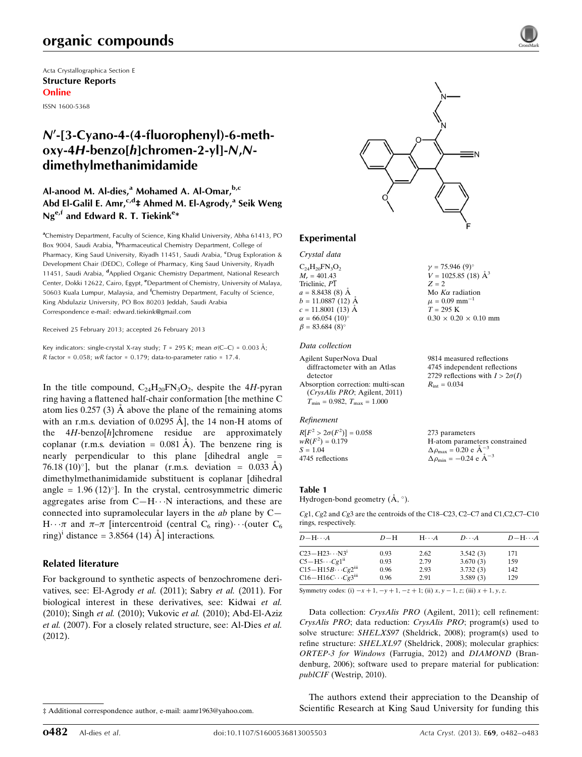# organic compounds

Acta Crystallographica Section E Structure Reports Online

ISSN 1600-5368

# $N'$ -[3-Cyano-4-(4-fluorophenyl)-6-methoxy-4H-benzo[h]chromen-2-yl]-N,Ndimethylmethanimidamide

### Al-anood M. Al-dies, $^{\rm a}$  Mohamed A. Al-Omar, $^{\rm b,c}$ Abd El-Galil E. Amr,<sup>c,d</sup>‡ Ahmed M. El-Agrody,<sup>a</sup> Seik Weng Ng<sup>e,f</sup> and Edward R. T. Tiekink<sup>e</sup>\*

<sup>a</sup>Chemistry Department, Faculty of Science, King Khalid University, Abha 61413, PO Box 9004, Saudi Arabia, <sup>b</sup>Pharmaceutical Chemistry Department, College of Pharmacy, King Saud University, Riyadh 11451, Saudi Arabia, <sup>c</sup>Drug Exploration & Development Chair (DEDC), College of Pharmacy, King Saud University, Riyadh 11451, Saudi Arabia, <sup>d</sup>Applied Organic Chemistry Department, National Research Center, Dokki 12622, Cairo, Egypt, <sup>e</sup>Department of Chemistry, University of Malaya, 50603 Kuala Lumpur, Malaysia, and <sup>f</sup>Chemistry Department, Faculty of Science, King Abdulaziz University, PO Box 80203 Jeddah, Saudi Arabia Correspondence e-mail: [edward.tiekink@gmail.com](https://scripts.iucr.org/cgi-bin/cr.cgi?rm=pdfbb&cnor=hg5296&bbid=BB12)

Received 25 February 2013; accepted 26 February 2013

Key indicators: single-crystal X-ray study;  $T = 295$  K; mean  $\sigma$ (C–C) = 0.003 Å;  $R$  factor = 0.058; wR factor = 0.179; data-to-parameter ratio = 17.4.

In the title compound,  $C_{24}H_{20}FN_3O_2$ , despite the 4H-pyran ring having a flattened half-chair conformation [the methine C atom lies  $0.257(3)$  Å above the plane of the remaining atoms with an r.m.s. deviation of  $0.0295$  Å], the 14 non-H atoms of the  $4H$ -benzo[h]chromene residue are approximately coplanar (r.m.s. deviation =  $0.081$  Å). The benzene ring is nearly perpendicular to this plane [dihedral angle = 76.18 (10)°], but the planar (r.m.s. deviation =  $0.033 \text{ Å}$ ) dimethylmethanimidamide substituent is coplanar [dihedral angle =  $1.96 (12)$ <sup>o</sup>]. In the crystal, centrosymmetric dimeric aggregates arise from  $C-H\cdots N$  interactions, and these are connected into supramolecular layers in the ab plane by C— H $\cdots$  and  $\pi$ - $\pi$  [intercentroid (central C<sub>6</sub> ring) $\cdots$ (outer C<sub>6</sub> ring)<sup>i</sup> distance = 3.8564 (14)  $\AA$ ] interactions.

### Related literature

For background to synthetic aspects of benzochromene derivatives, see: El-Agrody et al. (2011); Sabry et al. (2011). For biological interest in these derivatives, see: Kidwai et al. (2010); Singh et al. (2010); Vukovic et al. (2010); Abd-El-Aziz et al. (2007). For a closely related structure, see: Al-Dies et al. (2012).



 $\gamma = 75.946 \ (9)^{\circ}$  $V = 1025.85(18)$   $\AA^3$ 

Mo  $K\alpha$  radiation  $\mu$  = 0.09 mm<sup>-1</sup>  $T = 295 K$ 

 $R_{\rm int} = 0.034$ 

 $0.30 \times 0.20 \times 0.10$  mm

9814 measured reflections 4745 independent reflections 2729 reflections with  $I > 2\sigma(I)$ 

 $Z = 2$ 

### Experimental

Crystal data

 $C_{24}H_{20}FN_{3}O_{2}$  $M_r = 401.43$ Triclinic, P1  $a = 8.8438(8)$  Å  $b = 11.0887(12)$  Å  $c = 11.8001(13)$  Å  $\alpha = 66.054 \ (10)^{\circ}$  $\beta = 83.684 \ (8)^{\circ}$ 

#### Data collection

Agilent SuperNova Dual diffractometer with an Atlas detector Absorption correction: multi-scan (CrysAlis PRO; Agilent, 2011)  $T_{\text{min}} = 0.982, T_{\text{max}} = 1.000$ 

#### Refinement

 $R[F^2 > 2\sigma(F^2)] = 0.058$  $wR(F^2) = 0.179$  $S = 1.04$ 4745 reflections 273 parameters H-atom parameters constrained  $\Delta \rho_{\text{max}} = 0.20 \text{ e A}^{-3}$  $\Delta \rho_{\text{min}} = -0.24 \text{ e } \text{\AA}^{-3}$ 

#### Table 1

Hydrogen-bond geometry  $(\AA, \degree)$ .

Cg1, Cg2 and Cg3 are the centroids of the C18–C23, C2–C7 and C1,C2,C7–C10 rings, respectively.

| $D - H \cdots A$                    | $D-H$ | $H \cdots A$ | $D\cdots A$ | $D - H \cdots A$ |
|-------------------------------------|-------|--------------|-------------|------------------|
| $C23 - H23 \cdots N3^i$             | 0.93  | 2.62         | 3.542(3)    | 171              |
| $C5-H5\cdots Cg1^{ii}$              | 0.93  | 2.79         | 3.670(3)    | 159              |
| $C15-H15B\cdots Cg2iii$             | 0.96  | 2.93         | 3.732(3)    | 142              |
| $C16-H16C\cdots Cg3$ <sup>iii</sup> | 0.96  | 2.91         | 3.589(3)    | 129              |

Symmetry codes: (i)  $-x + 1$ ,  $-y + 1$ ,  $-z + 1$ ; (ii)  $x, y - 1$ , z; (iii)  $x + 1$ , y, z.

Data collection: CrysAlis PRO (Agilent, 2011); cell refinement: CrysAlis PRO; data reduction: CrysAlis PRO; program(s) used to solve structure: SHELXS97 (Sheldrick, 2008); program(s) used to refine structure: SHELXL97 (Sheldrick, 2008); molecular graphics: ORTEP-3 for Windows (Farrugia, 2012) and DIAMOND (Brandenburg, 2006); software used to prepare material for publication: publCIF (Westrip, 2010).

The authors extend their appreciation to the Deanship of Scientific Research at King Saud University for funding this

<sup>‡</sup> Additional correspondence author, e-mail: aamr1963@yahoo.com.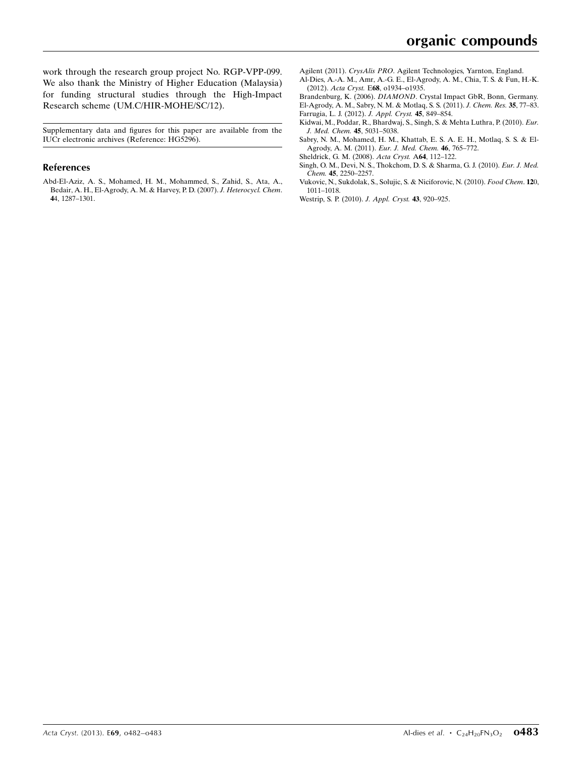work through the research group project No. RGP-VPP-099. We also thank the Ministry of Higher Education (Malaysia) for funding structural studies through the High-Impact Research scheme (UM.C/HIR-MOHE/SC/12).

Supplementary data and figures for this paper are available from the IUCr electronic archives (Reference: HG5296).

#### References

[Abd-El-Aziz, A. S., Mohamed, H. M., Mohammed, S., Zahid, S., Ata, A.,](https://scripts.iucr.org/cgi-bin/cr.cgi?rm=pdfbb&cnor=hg5296&bbid=BB1) [Bedair, A. H., El-Agrody, A. M. & Harvey, P. D. \(2007\).](https://scripts.iucr.org/cgi-bin/cr.cgi?rm=pdfbb&cnor=hg5296&bbid=BB1) J. Heterocycl. Chem. 4[4, 1287–1301.](https://scripts.iucr.org/cgi-bin/cr.cgi?rm=pdfbb&cnor=hg5296&bbid=BB1)

Agilent (2011). CrysAlis PRO[. Agilent Technologies, Yarnton, England.](https://scripts.iucr.org/cgi-bin/cr.cgi?rm=pdfbb&cnor=hg5296&bbid=BB2) [Al-Dies, A.-A. M., Amr, A.-G. E., El-Agrody, A. M., Chia, T. S. & Fun, H.-K.](https://scripts.iucr.org/cgi-bin/cr.cgi?rm=pdfbb&cnor=hg5296&bbid=BB3) (2012). Acta Cryst. E68[, o1934–o1935.](https://scripts.iucr.org/cgi-bin/cr.cgi?rm=pdfbb&cnor=hg5296&bbid=BB3)

Brandenburg, K. (2006). DIAMOND[. Crystal Impact GbR, Bonn, Germany.](https://scripts.iucr.org/cgi-bin/cr.cgi?rm=pdfbb&cnor=hg5296&bbid=BB4) [El-Agrody, A. M., Sabry, N. M. & Motlaq, S. S. \(2011\).](https://scripts.iucr.org/cgi-bin/cr.cgi?rm=pdfbb&cnor=hg5296&bbid=BB5) J. Chem. Res. 35, 77–83. [Farrugia, L. J. \(2012\).](https://scripts.iucr.org/cgi-bin/cr.cgi?rm=pdfbb&cnor=hg5296&bbid=BB6) J. Appl. Cryst. 45, 849–854.

- [Kidwai, M., Poddar, R., Bhardwaj, S., Singh, S. & Mehta Luthra, P. \(2010\).](https://scripts.iucr.org/cgi-bin/cr.cgi?rm=pdfbb&cnor=hg5296&bbid=BB7) Eur. [J. Med. Chem.](https://scripts.iucr.org/cgi-bin/cr.cgi?rm=pdfbb&cnor=hg5296&bbid=BB7) 45, 5031–5038.
- [Sabry, N. M., Mohamed, H. M., Khattab, E. S. A. E. H., Motlaq, S. S. & El-](https://scripts.iucr.org/cgi-bin/cr.cgi?rm=pdfbb&cnor=hg5296&bbid=BB8)[Agrody, A. M. \(2011\).](https://scripts.iucr.org/cgi-bin/cr.cgi?rm=pdfbb&cnor=hg5296&bbid=BB8) Eur. J. Med. Chem. 46, 765–772.
- [Sheldrick, G. M. \(2008\).](https://scripts.iucr.org/cgi-bin/cr.cgi?rm=pdfbb&cnor=hg5296&bbid=BB9) Acta Cryst. A64, 112–122.
- [Singh, O. M., Devi, N. S., Thokchom, D. S. & Sharma, G. J. \(2010\).](https://scripts.iucr.org/cgi-bin/cr.cgi?rm=pdfbb&cnor=hg5296&bbid=BB10) Eur. J. Med. Chem. 45[, 2250–2257.](https://scripts.iucr.org/cgi-bin/cr.cgi?rm=pdfbb&cnor=hg5296&bbid=BB10)
- [Vukovic, N., Sukdolak, S., Solujic, S. & Niciforovic, N. \(2010\).](https://scripts.iucr.org/cgi-bin/cr.cgi?rm=pdfbb&cnor=hg5296&bbid=BB11) Food Chem. 120, [1011–1018.](https://scripts.iucr.org/cgi-bin/cr.cgi?rm=pdfbb&cnor=hg5296&bbid=BB11)
- [Westrip, S. P. \(2010\).](https://scripts.iucr.org/cgi-bin/cr.cgi?rm=pdfbb&cnor=hg5296&bbid=BB12) J. Appl. Cryst. 43, 920–925.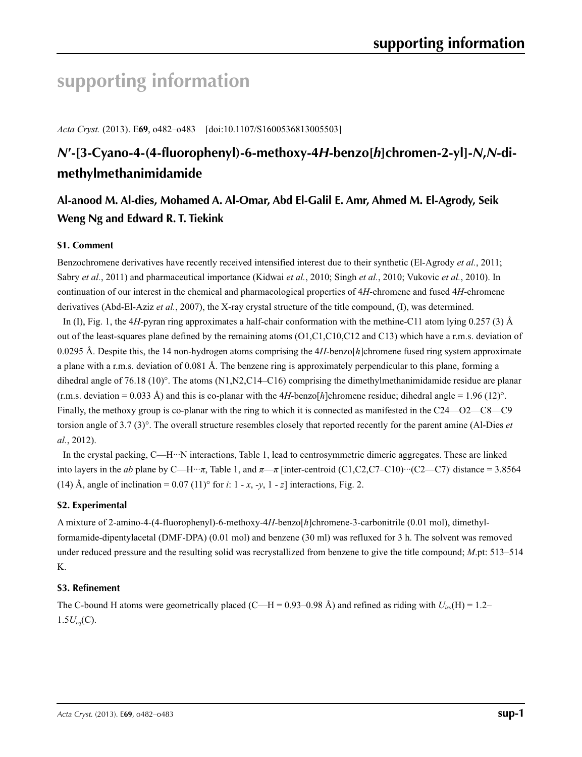# **supporting information**

*Acta Cryst.* (2013). E**69**, o482–o483 [doi:10.1107/S1600536813005503]

# *N***′-[3-Cyano-4-(4-fluorophenyl)-6-methoxy-4***H***-benzo[***h***]chromen-2-yl]-***N***,***N***-dimethylmethanimidamide**

# **Al-anood M. Al-dies, Mohamed A. Al-Omar, Abd El-Galil E. Amr, Ahmed M. El-Agrody, Seik Weng Ng and Edward R. T. Tiekink**

### **S1. Comment**

Benzochromene derivatives have recently received intensified interest due to their synthetic (El-Agrody *et al.*, 2011; Sabry *et al.*, 2011) and pharmaceutical importance (Kidwai *et al.*, 2010; Singh *et al.*, 2010; Vukovic *et al.*, 2010). In continuation of our interest in the chemical and pharmacological properties of 4*H*-chromene and fused 4*H*-chromene derivatives (Abd-El-Aziz *et al.*, 2007), the X-ray crystal structure of the title compound, (I), was determined.

In (I), Fig. 1, the 4*H*-pyran ring approximates a half-chair conformation with the methine-C11 atom lying 0.257 (3) Å out of the least-squares plane defined by the remaining atoms (O1,C1,C10,C12 and C13) which have a r.m.s. deviation of 0.0295 Å. Despite this, the 14 non-hydrogen atoms comprising the 4*H*-benzo[*h*]chromene fused ring system approximate a plane with a r.m.s. deviation of 0.081 Å. The benzene ring is approximately perpendicular to this plane, forming a dihedral angle of 76.18 (10)°. The atoms (N1,N2,C14–C16) comprising the dimethylmethanimidamide residue are planar (r.m.s. deviation = 0.033 Å) and this is co-planar with the 4*H*-benzo[*h*]chromene residue; dihedral angle = 1.96 (12)°. Finally, the methoxy group is co-planar with the ring to which it is connected as manifested in the C24—O2—C8—C9 torsion angle of 3.7 (3)°. The overall structure resembles closely that reported recently for the parent amine (Al-Dies *et al.*, 2012).

In the crystal packing, C—H···N interactions, Table 1, lead to centrosymmetric dimeric aggregates. These are linked into layers in the *ab* plane by C—H···*π*, Table 1, and  $\pi$ —*π* [inter-centroid (C1,C2,C7–C10)···(C2—C7)<sup>i</sup> distance = 3.8564 (14) Å, angle of inclination =  $0.07$  (11)<sup>o</sup> for *i*:  $1 - x$ ,  $-y$ ,  $1 - z$ ] interactions, Fig. 2.

### **S2. Experimental**

A mixture of 2-amino-4-(4-fluorophenyl)-6-methoxy-4*H*-benzo[*h*]chromene-3-carbonitrile (0.01 mol), dimethylformamide-dipentylacetal (DMF-DPA) (0.01 mol) and benzene (30 ml) was refluxed for 3 h. The solvent was removed under reduced pressure and the resulting solid was recrystallized from benzene to give the title compound; *M*.pt: 513–514 K.

### **S3. Refinement**

The C-bound H atoms were geometrically placed (C—H =  $0.93-0.98$  Å) and refined as riding with  $U_{iso}(H) = 1.2 1.5U_{eq}(C)$ .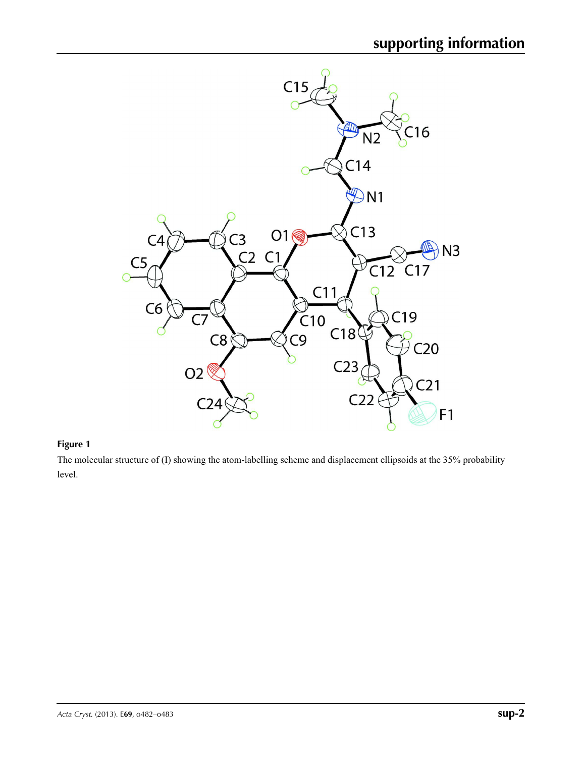

# **Figure 1**

The molecular structure of (I) showing the atom-labelling scheme and displacement ellipsoids at the 35% probability level.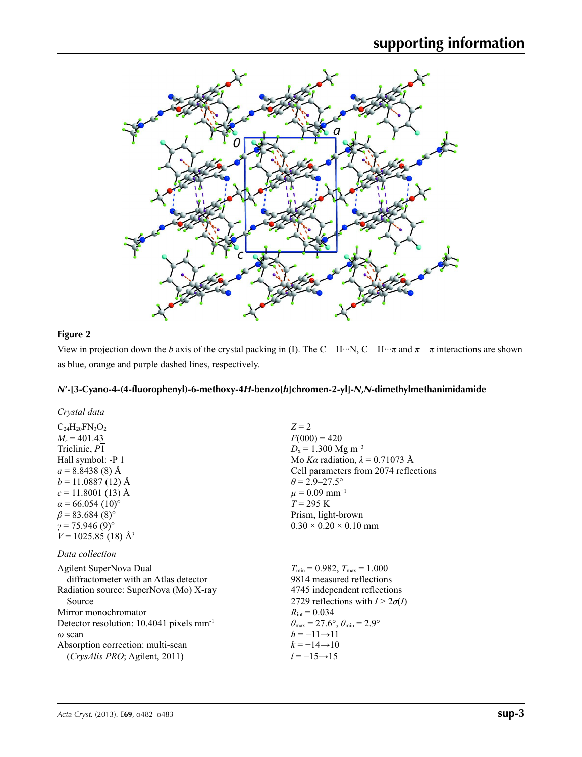

## **Figure 2**

View in projection down the *b* axis of the crystal packing in (I). The C—H···N, C—H··*π* and  $\pi$ —*π* interactions are shown as blue, orange and purple dashed lines, respectively.

### *N***′-[3-Cyano-4-(4-fluorophenyl)-6-methoxy-4***H***-benzo[***h***]chromen-2-yl]-***N***,***N***-dimethylmethanimidamide**

*Crystal data*

| $C24H20FN3O2$                                        | $Z=2$                                                 |
|------------------------------------------------------|-------------------------------------------------------|
| $M_r = 401.43$                                       | $F(000) = 420$                                        |
| Triclinic, P1                                        | $D_x = 1.300$ Mg m <sup>-3</sup>                      |
| Hall symbol: -P 1                                    | Mo Ka radiation, $\lambda = 0.71073$ Å                |
| $a = 8.8438(8)$ Å                                    | Cell parameters from 2074 reflections                 |
| $b = 11.0887(12)$ Å                                  | $\theta$ = 2.9–27.5°                                  |
| $c = 11.8001(13)$ Å                                  | $\mu = 0.09$ mm <sup>-1</sup>                         |
| $\alpha$ = 66.054 (10) <sup>o</sup>                  | $T = 295 \text{ K}$                                   |
| $\beta$ = 83.684 (8) <sup>o</sup>                    | Prism, light-brown                                    |
| $y = 75.946(9)$ °                                    | $0.30 \times 0.20 \times 0.10$ mm                     |
| $V = 1025.85(18)$ Å <sup>3</sup><br>Data collection  |                                                       |
| Agilent SuperNova Dual                               | $T_{\min} = 0.982$ , $T_{\max} = 1.000$               |
| diffractometer with an Atlas detector                | 9814 measured reflections                             |
| Radiation source: SuperNova (Mo) X-ray               | 4745 independent reflections                          |
| Source                                               | 2729 reflections with $I > 2\sigma(I)$                |
| Mirror monochromator                                 | $R_{\text{int}} = 0.034$                              |
| Detector resolution: 10.4041 pixels mm <sup>-1</sup> | $\theta_{\rm max}$ = 27.6°, $\theta_{\rm min}$ = 2.9° |
| $\omega$ scan                                        | $h = -11 \rightarrow 11$                              |
| Absorption correction: multi-scan                    | $k = -14 \rightarrow 10$                              |
| <i>(CrysAlis PRO</i> ; Agilent, 2011)                | $l = -15 \rightarrow 15$                              |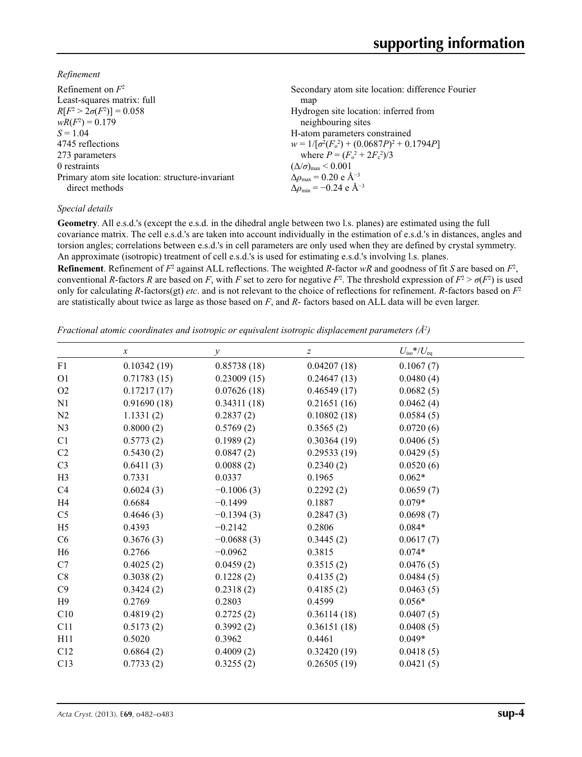*Refinement*

| Refinement on $F^2$                             | Secondary atom site location: difference Fourier          |
|-------------------------------------------------|-----------------------------------------------------------|
| Least-squares matrix: full                      | map                                                       |
| $R[F^2 > 2\sigma(F^2)] = 0.058$                 | Hydrogen site location: inferred from                     |
| $wR(F^2) = 0.179$                               | neighbouring sites                                        |
| $S = 1.04$                                      | H-atom parameters constrained                             |
| 4745 reflections                                | $w = 1/[\sigma^2(F_0^2) + (0.0687P)^2 + 0.1794P]$         |
| 273 parameters                                  | where $P = (F_0^2 + 2F_c^2)/3$                            |
| 0 restraints                                    | $(\Delta/\sigma)_{\text{max}}$ < 0.001                    |
| Primary atom site location: structure-invariant | $\Delta\rho_{\text{max}}$ = 0.20 e Å <sup>-3</sup>        |
| direct methods                                  | $\Delta\rho_{\rm min} = -0.24 \text{ e } \text{\AA}^{-3}$ |
|                                                 |                                                           |

### *Special details*

**Geometry**. All e.s.d.'s (except the e.s.d. in the dihedral angle between two l.s. planes) are estimated using the full covariance matrix. The cell e.s.d.'s are taken into account individually in the estimation of e.s.d.'s in distances, angles and torsion angles; correlations between e.s.d.'s in cell parameters are only used when they are defined by crystal symmetry. An approximate (isotropic) treatment of cell e.s.d.'s is used for estimating e.s.d.'s involving l.s. planes.

**Refinement**. Refinement of  $F^2$  against ALL reflections. The weighted *R*-factor  $wR$  and goodness of fit *S* are based on  $F^2$ , conventional *R*-factors *R* are based on *F*, with *F* set to zero for negative  $F^2$ . The threshold expression of  $F^2 > \sigma(F^2)$  is used only for calculating *R*-factors(gt) *etc*. and is not relevant to the choice of reflections for refinement. *R*-factors based on *F*<sup>2</sup> are statistically about twice as large as those based on *F*, and *R*- factors based on ALL data will be even larger.

*Fractional atomic coordinates and isotropic or equivalent isotropic displacement parameters (Å<sup>2</sup>)* 

|                | $\boldsymbol{x}$ | $\mathcal{Y}$ | $\boldsymbol{Z}$ | $U_{\rm iso}*/U_{\rm eq}$ |  |
|----------------|------------------|---------------|------------------|---------------------------|--|
| F1             | 0.10342(19)      | 0.85738(18)   | 0.04207(18)      | 0.1067(7)                 |  |
| O <sub>1</sub> | 0.71783(15)      | 0.23009(15)   | 0.24647(13)      | 0.0480(4)                 |  |
| O <sub>2</sub> | 0.17217(17)      | 0.07626(18)   | 0.46549(17)      | 0.0682(5)                 |  |
| N1             | 0.91690(18)      | 0.34311(18)   | 0.21651(16)      | 0.0462(4)                 |  |
| N2             | 1.1331(2)        | 0.2837(2)     | 0.10802(18)      | 0.0584(5)                 |  |
| N <sub>3</sub> | 0.8000(2)        | 0.5769(2)     | 0.3565(2)        | 0.0720(6)                 |  |
| C1             | 0.5773(2)        | 0.1989(2)     | 0.30364(19)      | 0.0406(5)                 |  |
| C <sub>2</sub> | 0.5430(2)        | 0.0847(2)     | 0.29533(19)      | 0.0429(5)                 |  |
| C <sub>3</sub> | 0.6411(3)        | 0.0088(2)     | 0.2340(2)        | 0.0520(6)                 |  |
| H <sub>3</sub> | 0.7331           | 0.0337        | 0.1965           | $0.062*$                  |  |
| C4             | 0.6024(3)        | $-0.1006(3)$  | 0.2292(2)        | 0.0659(7)                 |  |
| H <sub>4</sub> | 0.6684           | $-0.1499$     | 0.1887           | $0.079*$                  |  |
| C <sub>5</sub> | 0.4646(3)        | $-0.1394(3)$  | 0.2847(3)        | 0.0698(7)                 |  |
| H <sub>5</sub> | 0.4393           | $-0.2142$     | 0.2806           | $0.084*$                  |  |
| C6             | 0.3676(3)        | $-0.0688(3)$  | 0.3445(2)        | 0.0617(7)                 |  |
| H <sub>6</sub> | 0.2766           | $-0.0962$     | 0.3815           | $0.074*$                  |  |
| C7             | 0.4025(2)        | 0.0459(2)     | 0.3515(2)        | 0.0476(5)                 |  |
| C8             | 0.3038(2)        | 0.1228(2)     | 0.4135(2)        | 0.0484(5)                 |  |
| C9             | 0.3424(2)        | 0.2318(2)     | 0.4185(2)        | 0.0463(5)                 |  |
| H <sub>9</sub> | 0.2769           | 0.2803        | 0.4599           | $0.056*$                  |  |
| C10            | 0.4819(2)        | 0.2725(2)     | 0.36114(18)      | 0.0407(5)                 |  |
| C11            | 0.5173(2)        | 0.3992(2)     | 0.36151(18)      | 0.0408(5)                 |  |
| H11            | 0.5020           | 0.3962        | 0.4461           | $0.049*$                  |  |
| C12            | 0.6864(2)        | 0.4009(2)     | 0.32420(19)      | 0.0418(5)                 |  |
| C13            | 0.7733(2)        | 0.3255(2)     | 0.26505(19)      | 0.0421(5)                 |  |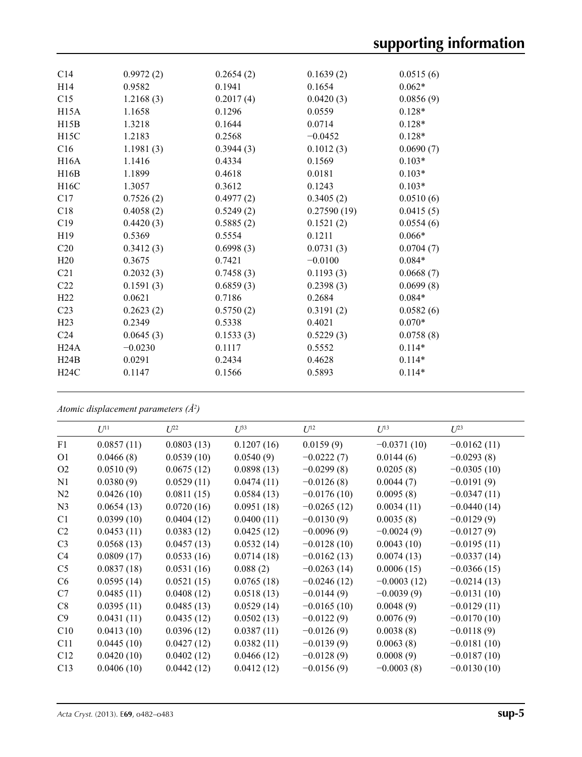| C <sub>14</sub>   | 0.9972(2) | 0.2654(2) | 0.1639(2)   | 0.0515(6) |
|-------------------|-----------|-----------|-------------|-----------|
| H14               | 0.9582    | 0.1941    | 0.1654      | $0.062*$  |
| C15               | 1.2168(3) | 0.2017(4) | 0.0420(3)   | 0.0856(9) |
| H15A              | 1.1658    | 0.1296    | 0.0559      | $0.128*$  |
| H15B              | 1.3218    | 0.1644    | 0.0714      | $0.128*$  |
| H <sub>15</sub> C | 1.2183    | 0.2568    | $-0.0452$   | $0.128*$  |
| C16               | 1.1981(3) | 0.3944(3) | 0.1012(3)   | 0.0690(7) |
| H16A              | 1.1416    | 0.4334    | 0.1569      | $0.103*$  |
| H16B              | 1.1899    | 0.4618    | 0.0181      | $0.103*$  |
| H16C              | 1.3057    | 0.3612    | 0.1243      | $0.103*$  |
| C17               | 0.7526(2) | 0.4977(2) | 0.3405(2)   | 0.0510(6) |
| C18               | 0.4058(2) | 0.5249(2) | 0.27590(19) | 0.0415(5) |
| C19               | 0.4420(3) | 0.5885(2) | 0.1521(2)   | 0.0554(6) |
| H19               | 0.5369    | 0.5554    | 0.1211      | $0.066*$  |
| C20               | 0.3412(3) | 0.6998(3) | 0.0731(3)   | 0.0704(7) |
| H20               | 0.3675    | 0.7421    | $-0.0100$   | $0.084*$  |
| C <sub>21</sub>   | 0.2032(3) | 0.7458(3) | 0.1193(3)   | 0.0668(7) |
| C22               | 0.1591(3) | 0.6859(3) | 0.2398(3)   | 0.0699(8) |
| H22               | 0.0621    | 0.7186    | 0.2684      | $0.084*$  |
| C <sub>23</sub>   | 0.2623(2) | 0.5750(2) | 0.3191(2)   | 0.0582(6) |
| H <sub>23</sub>   | 0.2349    | 0.5338    | 0.4021      | $0.070*$  |
| C <sub>24</sub>   | 0.0645(3) | 0.1533(3) | 0.5229(3)   | 0.0758(8) |
| H24A              | $-0.0230$ | 0.1117    | 0.5552      | $0.114*$  |
| H24B              | 0.0291    | 0.2434    | 0.4628      | $0.114*$  |
| H24C              | 0.1147    | 0.1566    | 0.5893      | $0.114*$  |
|                   |           |           |             |           |

*Atomic displacement parameters (Å2 )*

|                | $U^{11}$   | $U^{22}$   | $U^{33}$   | $U^{12}$      | $U^{13}$      | $U^{23}$      |
|----------------|------------|------------|------------|---------------|---------------|---------------|
| F1             | 0.0857(11) | 0.0803(13) | 0.1207(16) | 0.0159(9)     | $-0.0371(10)$ | $-0.0162(11)$ |
| O <sub>1</sub> | 0.0466(8)  | 0.0539(10) | 0.0540(9)  | $-0.0222(7)$  | 0.0144(6)     | $-0.0293(8)$  |
| O <sub>2</sub> | 0.0510(9)  | 0.0675(12) | 0.0898(13) | $-0.0299(8)$  | 0.0205(8)     | $-0.0305(10)$ |
| N <sub>1</sub> | 0.0380(9)  | 0.0529(11) | 0.0474(11) | $-0.0126(8)$  | 0.0044(7)     | $-0.0191(9)$  |
| N <sub>2</sub> | 0.0426(10) | 0.0811(15) | 0.0584(13) | $-0.0176(10)$ | 0.0095(8)     | $-0.0347(11)$ |
| N <sub>3</sub> | 0.0654(13) | 0.0720(16) | 0.0951(18) | $-0.0265(12)$ | 0.0034(11)    | $-0.0440(14)$ |
| C <sub>1</sub> | 0.0399(10) | 0.0404(12) | 0.0400(11) | $-0.0130(9)$  | 0.0035(8)     | $-0.0129(9)$  |
| C2             | 0.0453(11) | 0.0383(12) | 0.0425(12) | $-0.0096(9)$  | $-0.0024(9)$  | $-0.0127(9)$  |
| C <sub>3</sub> | 0.0568(13) | 0.0457(13) | 0.0532(14) | $-0.0128(10)$ | 0.0043(10)    | $-0.0195(11)$ |
| C <sub>4</sub> | 0.0809(17) | 0.0533(16) | 0.0714(18) | $-0.0162(13)$ | 0.0074(13)    | $-0.0337(14)$ |
| C <sub>5</sub> | 0.0837(18) | 0.0531(16) | 0.088(2)   | $-0.0263(14)$ | 0.0006(15)    | $-0.0366(15)$ |
| C <sub>6</sub> | 0.0595(14) | 0.0521(15) | 0.0765(18) | $-0.0246(12)$ | $-0.0003(12)$ | $-0.0214(13)$ |
| C7             | 0.0485(11) | 0.0408(12) | 0.0518(13) | $-0.0144(9)$  | $-0.0039(9)$  | $-0.0131(10)$ |
| C8             | 0.0395(11) | 0.0485(13) | 0.0529(14) | $-0.0165(10)$ | 0.0048(9)     | $-0.0129(11)$ |
| C9             | 0.0431(11) | 0.0435(12) | 0.0502(13) | $-0.0122(9)$  | 0.0076(9)     | $-0.0170(10)$ |
| C10            | 0.0413(10) | 0.0396(12) | 0.0387(11) | $-0.0126(9)$  | 0.0038(8)     | $-0.0118(9)$  |
| C11            | 0.0445(10) | 0.0427(12) | 0.0382(11) | $-0.0139(9)$  | 0.0063(8)     | $-0.0181(10)$ |
| C12            | 0.0420(10) | 0.0402(12) | 0.0466(12) | $-0.0128(9)$  | 0.0008(9)     | $-0.0187(10)$ |
| C13            | 0.0406(10) | 0.0442(12) | 0.0412(12) | $-0.0156(9)$  | $-0.0003(8)$  | $-0.0130(10)$ |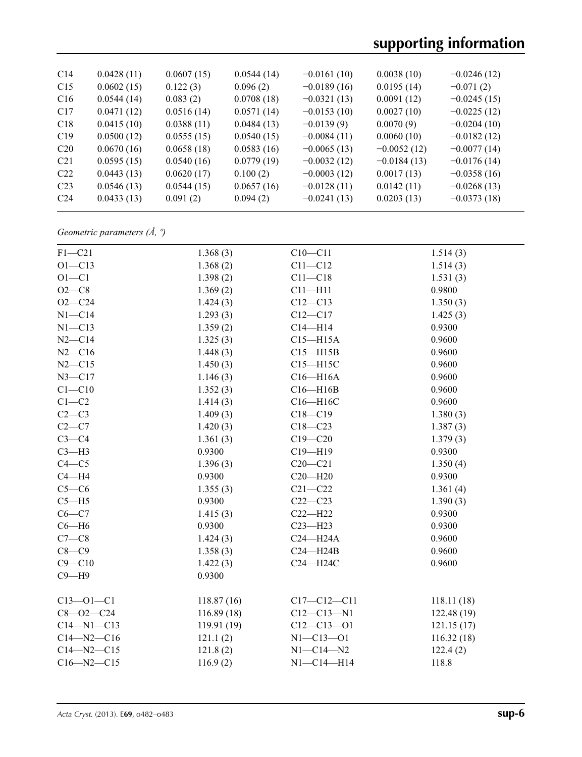| C14             | 0.0428(11) | 0.0607(15) | 0.0544(14) | $-0.0161(10)$ | 0.0038(10)    | $-0.0246(12)$ |
|-----------------|------------|------------|------------|---------------|---------------|---------------|
| C15             | 0.0602(15) | 0.122(3)   | 0.096(2)   | $-0.0189(16)$ | 0.0195(14)    | $-0.071(2)$   |
| C16             | 0.0544(14) | 0.083(2)   | 0.0708(18) | $-0.0321(13)$ | 0.0091(12)    | $-0.0245(15)$ |
| C17             | 0.0471(12) | 0.0516(14) | 0.0571(14) | $-0.0153(10)$ | 0.0027(10)    | $-0.0225(12)$ |
| C18             | 0.0415(10) | 0.0388(11) | 0.0484(13) | $-0.0139(9)$  | 0.0070(9)     | $-0.0204(10)$ |
| C19             | 0.0500(12) | 0.0555(15) | 0.0540(15) | $-0.0084(11)$ | 0.0060(10)    | $-0.0182(12)$ |
| C <sub>20</sub> | 0.0670(16) | 0.0658(18) | 0.0583(16) | $-0.0065(13)$ | $-0.0052(12)$ | $-0.0077(14)$ |
| C <sub>21</sub> | 0.0595(15) | 0.0540(16) | 0.0779(19) | $-0.0032(12)$ | $-0.0184(13)$ | $-0.0176(14)$ |
| C22             | 0.0443(13) | 0.0620(17) | 0.100(2)   | $-0.0003(12)$ | 0.0017(13)    | $-0.0358(16)$ |
| C <sub>23</sub> | 0.0546(13) | 0.0544(15) | 0.0657(16) | $-0.0128(11)$ | 0.0142(11)    | $-0.0268(13)$ |
| C <sub>24</sub> | 0.0433(13) | 0.091(2)   | 0.094(2)   | $-0.0241(13)$ | 0.0203(13)    | $-0.0373(18)$ |
|                 |            |            |            |               |               |               |

*Geometric parameters (Å, º)*

| $F1 - C21$       | 1.368(3)    | $C10 - C11$       | 1.514(3)    |
|------------------|-------------|-------------------|-------------|
| $O1 - C13$       | 1.368(2)    | $C11 - C12$       | 1.514(3)    |
| $O1 - C1$        | 1.398(2)    | $C11 - C18$       | 1.531(3)    |
| $O2 - C8$        | 1.369(2)    | $C11 - H11$       | 0.9800      |
| $O2 - C24$       | 1.424(3)    | $C12 - C13$       | 1.350(3)    |
| $N1 - C14$       | 1.293(3)    | $C12 - C17$       | 1.425(3)    |
| $N1 - C13$       | 1.359(2)    | $C14 - H14$       | 0.9300      |
| $N2-C14$         | 1.325(3)    | $C15 - H15A$      | 0.9600      |
| $N2 - C16$       | 1.448(3)    | $C15 - H15B$      | 0.9600      |
| $N2 - C15$       | 1.450(3)    | $C15 - H15C$      | 0.9600      |
| $N3 - C17$       | 1.146(3)    | $C16 - H16A$      | 0.9600      |
| $C1 - C10$       | 1.352(3)    | $C16 - H16B$      | 0.9600      |
| $C1-C2$          | 1.414(3)    | C16-H16C          | 0.9600      |
| $C2-C3$          | 1.409(3)    | $C18 - C19$       | 1.380(3)    |
| $C2-C7$          | 1.420(3)    | $C18 - C23$       | 1.387(3)    |
| $C3-C4$          | 1.361(3)    | $C19 - C20$       | 1.379(3)    |
| $C3-H3$          | 0.9300      | $C19 - H19$       | 0.9300      |
| $C4 - C5$        | 1.396(3)    | $C20 - C21$       | 1.350(4)    |
| $C4 - H4$        | 0.9300      | $C20 - H20$       | 0.9300      |
| $C5-C6$          | 1.355(3)    | $C21 - C22$       | 1.361(4)    |
| $C5 - H5$        | 0.9300      | $C22-C23$         | 1.390(3)    |
| $C6-C7$          | 1.415(3)    | $C22 - H22$       | 0.9300      |
| $C6 - H6$        | 0.9300      | $C23 - H23$       | 0.9300      |
| $C7-C8$          | 1.424(3)    | $C24 - H24A$      | 0.9600      |
| $C8-C9$          | 1.358(3)    | $C24 - H24B$      | 0.9600      |
| $C9 - C10$       | 1.422(3)    | C24-H24C          | 0.9600      |
| $C9 - H9$        | 0.9300      |                   |             |
| $C13 - 01 - C1$  | 118.87(16)  | $C17 - C12 - C11$ | 118.11(18)  |
| $C8 - O2 - C24$  | 116.89(18)  | $C12 - C13 - N1$  | 122.48 (19) |
| $C14 - N1 - C13$ | 119.91 (19) | $C12 - C13 - O1$  | 121.15(17)  |
| $C14 - N2 - C16$ | 121.1(2)    | $N1 - C13 - O1$   | 116.32(18)  |
| $C14 - N2 - C15$ | 121.8(2)    | $N1 - C14 - N2$   | 122.4(2)    |
| $C16 - N2 - C15$ | 116.9(2)    | $N1 - C14 - H14$  | 118.8       |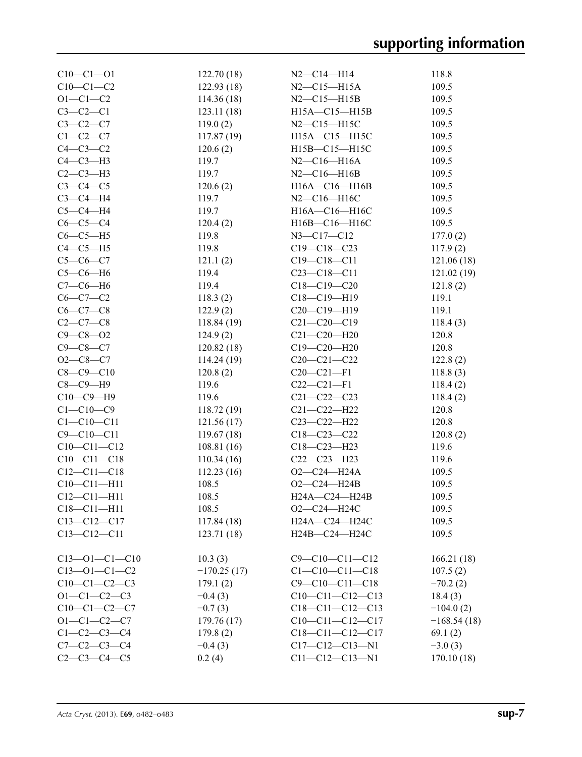| $C10-C1-01$           | 122.70(18)    | $N2 - C14 - H14$          | 118.8         |
|-----------------------|---------------|---------------------------|---------------|
| $C10-C1-C2$           | 122.93(18)    | $N2$ <sup>-C15-H15A</sup> | 109.5         |
| $O1 - C1 - C2$        | 114.36(18)    | $N2$ — $C15$ — $H15B$     | 109.5         |
| $C3-C2-C1$            | 123.11(18)    | $H15A - C15 - H15B$       | 109.5         |
| $C3-C2-C7$            | 119.0(2)      | $N2$ – $C15$ – $H15C$     | 109.5         |
| $C1-C2-C7$            | 117.87(19)    | H15A-C15-H15C             | 109.5         |
| $C4-C3-C2$            | 120.6(2)      | H15B-C15-H15C             | 109.5         |
| $C4-C3-H3$            | 119.7         | $N2$ — $C16$ — $H16A$     | 109.5         |
| $C2-C3-H3$            | 119.7         | $N2 - C16 - H16B$         | 109.5         |
| $C3-C4-C5$            | 120.6(2)      | $H16A - C16 - H16B$       | 109.5         |
| $C3-C4-H4$            | 119.7         | $N2 - C16 - H16C$         | 109.5         |
| $C5-C4-H4$            | 119.7         | H16A-C16-H16C             | 109.5         |
| $C6-C5-C4$            | 120.4(2)      | H16B-C16-H16C             | 109.5         |
| $C6-C5-H5$            | 119.8         | $N3 - C17 - C12$          | 177.0(2)      |
| $C4-C5-H5$            | 119.8         | $C19 - C18 - C23$         | 117.9(2)      |
| $C5-C6-C7$            | 121.1(2)      | $C19 - C18 - C11$         | 121.06(18)    |
| $C5-C6-H6$            | 119.4         | $C23-C18-C11$             |               |
|                       |               |                           | 121.02(19)    |
| $C7-C6-H6$            | 119.4         | $C18 - C19 - C20$         | 121.8(2)      |
| $C6 - C7 - C2$        | 118.3(2)      | $C18-C19-H19$             | 119.1         |
| $C6-C7-C8$            | 122.9(2)      | $C20-C19-H19$             | 119.1         |
| $C2-C7-C8$            | 118.84(19)    | $C21 - C20 - C19$         | 118.4(3)      |
| $C9 - C8 - O2$        | 124.9(2)      | $C21 - C20 - H20$         | 120.8         |
| $C9 - C8 - C7$        | 120.82(18)    | $C19 - C20 - H20$         | 120.8         |
| $O2-C8-C7$            | 114.24(19)    | $C20 - C21 - C22$         | 122.8(2)      |
| $C8 - C9 - C10$       | 120.8(2)      | $C20 - C21 - F1$          | 118.8(3)      |
| $C8-C9-H9$            | 119.6         | $C22-C21-F1$              | 118.4(2)      |
| $C10-C9-H9$           | 119.6         | $C21 - C22 - C23$         | 118.4(2)      |
| $C1 - C10 - C9$       | 118.72(19)    | $C21 - C22 - H22$         | 120.8         |
| $C1 - C10 - C11$      | 121.56(17)    | $C23 - C22 - H22$         | 120.8         |
| $C9 - C10 - C11$      | 119.67(18)    | $C18 - C23 - C22$         | 120.8(2)      |
| $C10-C11-C12$         | 108.81(16)    | $C18 - C23 - H23$         | 119.6         |
| $C10-C11-C18$         | 110.34(16)    | $C22-C23-H23$             | 119.6         |
| $C12 - C11 - C18$     | 112.23(16)    | $O2-C24-H24A$             | 109.5         |
| $C10 - C11 - H11$     | 108.5         | $O2 - C24 - H24B$         | 109.5         |
| $C12 - C11 - H11$     | 108.5         | H24A-C24-H24B             | 109.5         |
| $C18 - C11 - H11$     | 108.5         | O2-C24-H24C               | 109.5         |
| $C13 - C12 - C17$     | 117.84(18)    | H24A-C24-H24C             | 109.5         |
| $C13 - C12 - C11$     | 123.71(18)    | H24B-C24-H24C             | 109.5         |
|                       |               |                           |               |
| $C13 - 01 - C1 - C10$ | 10.3(3)       | $C9 - C10 - C11 - C12$    | 166.21(18)    |
| $C13 - 01 - C1 - C2$  | $-170.25(17)$ | $C1 - C10 - C11 - C18$    | 107.5(2)      |
| $C10-C1-C2-C3$        | 179.1(2)      | $C9 - C10 - C11 - C18$    | $-70.2(2)$    |
| $O1 - C1 - C2 - C3$   | $-0.4(3)$     | $C10-C11-C12-C13$         | 18.4(3)       |
| $C10-C1-C2-C7$        | $-0.7(3)$     | $C18-C11-C12-C13$         | $-104.0(2)$   |
| $O1 - C1 - C2 - C7$   | 179.76(17)    | $C10-C11-C12-C17$         | $-168.54(18)$ |
| $C1-C2-C3-C4$         | 179.8(2)      | $C18-C11-C12-C17$         | 69.1(2)       |
| $C7 - C2 - C3 - C4$   | $-0.4(3)$     | $C17-C12-C13-N1$          | $-3.0(3)$     |
| $C2 - C3 - C4 - C5$   | 0.2(4)        | $C11 - C12 - C13 - N1$    | 170.10(18)    |
|                       |               |                           |               |